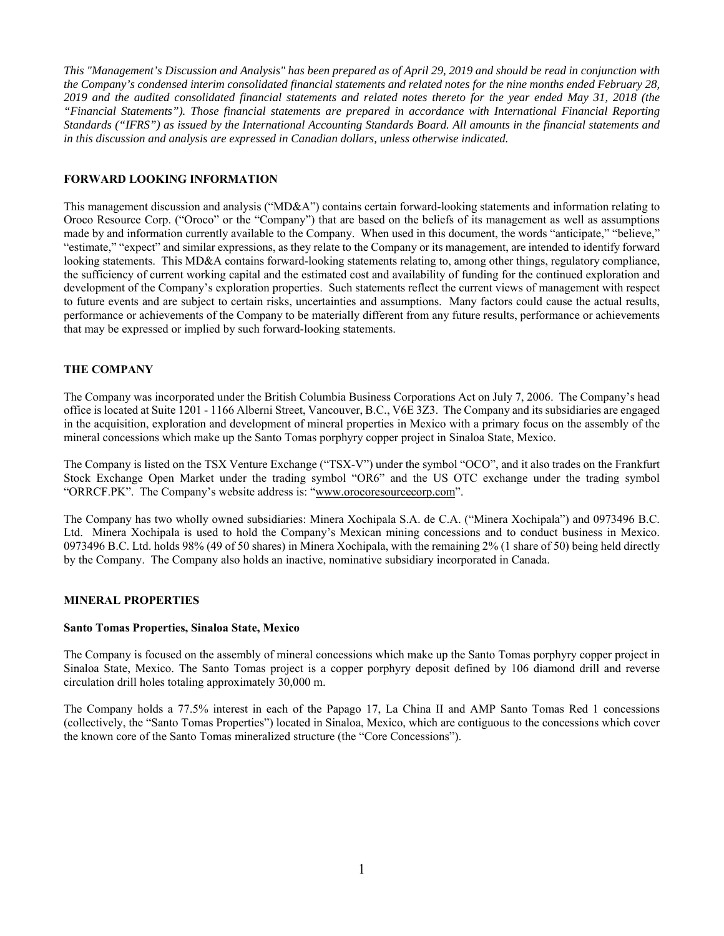*This "Management's Discussion and Analysis" has been prepared as of April 29, 2019 and should be read in conjunction with the Company's condensed interim consolidated financial statements and related notes for the nine months ended February 28, 2019 and the audited consolidated financial statements and related notes thereto for the year ended May 31, 2018 (the "Financial Statements"). Those financial statements are prepared in accordance with International Financial Reporting Standards ("IFRS") as issued by the International Accounting Standards Board. All amounts in the financial statements and in this discussion and analysis are expressed in Canadian dollars, unless otherwise indicated.* 

# **FORWARD LOOKING INFORMATION**

This management discussion and analysis ("MD&A") contains certain forward-looking statements and information relating to Oroco Resource Corp. ("Oroco" or the "Company") that are based on the beliefs of its management as well as assumptions made by and information currently available to the Company. When used in this document, the words "anticipate," "believe," "estimate," "expect" and similar expressions, as they relate to the Company or its management, are intended to identify forward looking statements. This MD&A contains forward-looking statements relating to, among other things, regulatory compliance, the sufficiency of current working capital and the estimated cost and availability of funding for the continued exploration and development of the Company's exploration properties. Such statements reflect the current views of management with respect to future events and are subject to certain risks, uncertainties and assumptions. Many factors could cause the actual results, performance or achievements of the Company to be materially different from any future results, performance or achievements that may be expressed or implied by such forward-looking statements.

# **THE COMPANY**

The Company was incorporated under the British Columbia Business Corporations Act on July 7, 2006. The Company's head office is located at Suite 1201 - 1166 Alberni Street, Vancouver, B.C., V6E 3Z3. The Company and its subsidiaries are engaged in the acquisition, exploration and development of mineral properties in Mexico with a primary focus on the assembly of the mineral concessions which make up the Santo Tomas porphyry copper project in Sinaloa State, Mexico.

The Company is listed on the TSX Venture Exchange ("TSX-V") under the symbol "OCO", and it also trades on the Frankfurt Stock Exchange Open Market under the trading symbol "OR6" and the US OTC exchange under the trading symbol "ORRCF.PK". The Company's website address is: "www.orocoresourcecorp.com".

The Company has two wholly owned subsidiaries: Minera Xochipala S.A. de C.A. ("Minera Xochipala") and 0973496 B.C. Ltd. Minera Xochipala is used to hold the Company's Mexican mining concessions and to conduct business in Mexico. 0973496 B.C. Ltd. holds 98% (49 of 50 shares) in Minera Xochipala, with the remaining 2% (1 share of 50) being held directly by the Company. The Company also holds an inactive, nominative subsidiary incorporated in Canada.

## **MINERAL PROPERTIES**

#### **Santo Tomas Properties, Sinaloa State, Mexico**

The Company is focused on the assembly of mineral concessions which make up the Santo Tomas porphyry copper project in Sinaloa State, Mexico. The Santo Tomas project is a copper porphyry deposit defined by 106 diamond drill and reverse circulation drill holes totaling approximately 30,000 m.

The Company holds a 77.5% interest in each of the Papago 17, La China II and AMP Santo Tomas Red 1 concessions (collectively, the "Santo Tomas Properties") located in Sinaloa, Mexico, which are contiguous to the concessions which cover the known core of the Santo Tomas mineralized structure (the "Core Concessions").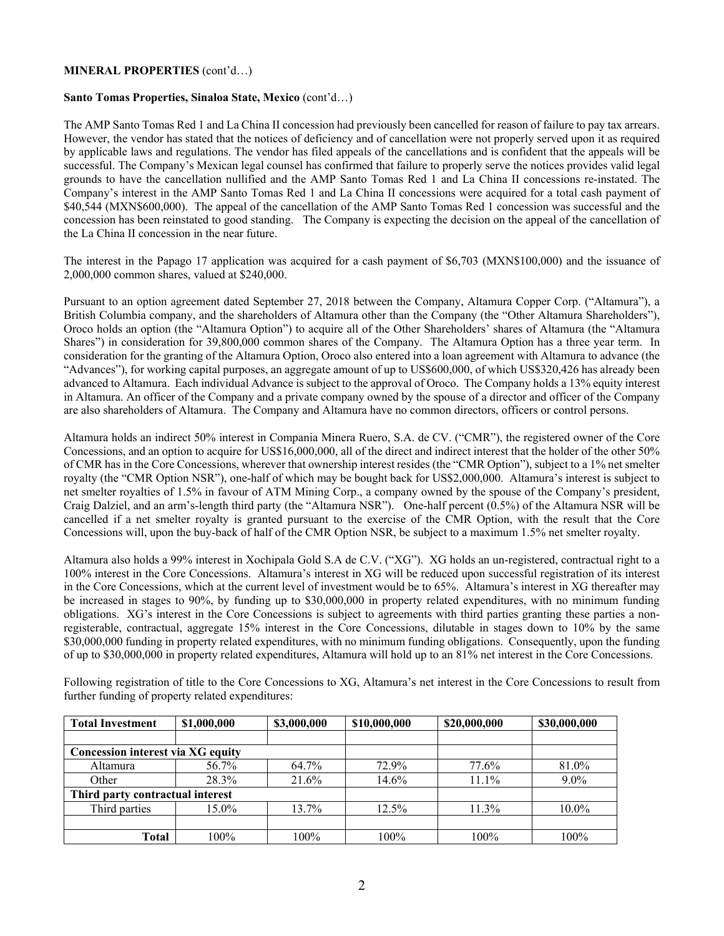## **MINERAL PROPERTIES** (cont'd…)

## **Santo Tomas Properties, Sinaloa State, Mexico** (cont'd…)

The AMP Santo Tomas Red 1 and La China II concession had previously been cancelled for reason of failure to pay tax arrears. However, the vendor has stated that the notices of deficiency and of cancellation were not properly served upon it as required by applicable laws and regulations. The vendor has filed appeals of the cancellations and is confident that the appeals will be successful. The Company's Mexican legal counsel has confirmed that failure to properly serve the notices provides valid legal grounds to have the cancellation nullified and the AMP Santo Tomas Red 1 and La China II concessions re-instated. The Company's interest in the AMP Santo Tomas Red 1 and La China II concessions were acquired for a total cash payment of \$40,544 (MXN\$600,000). The appeal of the cancellation of the AMP Santo Tomas Red 1 concession was successful and the concession has been reinstated to good standing. The Company is expecting the decision on the appeal of the cancellation of the La China II concession in the near future.

The interest in the Papago 17 application was acquired for a cash payment of \$6,703 (MXN\$100,000) and the issuance of 2,000,000 common shares, valued at \$240,000.

Pursuant to an option agreement dated September 27, 2018 between the Company, Altamura Copper Corp. ("Altamura"), a British Columbia company, and the shareholders of Altamura other than the Company (the "Other Altamura Shareholders"), Oroco holds an option (the "Altamura Option") to acquire all of the Other Shareholders' shares of Altamura (the "Altamura Shares") in consideration for 39,800,000 common shares of the Company. The Altamura Option has a three year term. In consideration for the granting of the Altamura Option, Oroco also entered into a loan agreement with Altamura to advance (the "Advances"), for working capital purposes, an aggregate amount of up to US\$600,000, of which US\$320,426 has already been advanced to Altamura. Each individual Advance is subject to the approval of Oroco. The Company holds a 13% equity interest in Altamura. An officer of the Company and a private company owned by the spouse of a director and officer of the Company are also shareholders of Altamura. The Company and Altamura have no common directors, officers or control persons.

Altamura holds an indirect 50% interest in Compania Minera Ruero, S.A. de CV. ("CMR"), the registered owner of the Core Concessions, and an option to acquire for US\$16,000,000, all of the direct and indirect interest that the holder of the other 50% of CMR has in the Core Concessions, wherever that ownership interest resides (the "CMR Option"), subject to a 1% net smelter royalty (the "CMR Option NSR"), one-half of which may be bought back for US\$2,000,000. Altamura's interest is subject to net smelter royalties of 1.5% in favour of ATM Mining Corp., a company owned by the spouse of the Company's president, Craig Dalziel, and an arm's-length third party (the "Altamura NSR"). One-half percent (0.5%) of the Altamura NSR will be cancelled if a net smelter royalty is granted pursuant to the exercise of the CMR Option, with the result that the Core Concessions will, upon the buy-back of half of the CMR Option NSR, be subject to a maximum 1.5% net smelter royalty.

Altamura also holds a 99% interest in Xochipala Gold S.A de C.V. ("XG"). XG holds an un-registered, contractual right to a 100% interest in the Core Concessions. Altamura's interest in XG will be reduced upon successful registration of its interest in the Core Concessions, which at the current level of investment would be to 65%. Altamura's interest in XG thereafter may be increased in stages to 90%, by funding up to \$30,000,000 in property related expenditures, with no minimum funding obligations. XG's interest in the Core Concessions is subject to agreements with third parties granting these parties a nonregisterable, contractual, aggregate 15% interest in the Core Concessions, dilutable in stages down to 10% by the same \$30,000,000 funding in property related expenditures, with no minimum funding obligations. Consequently, upon the funding of up to \$30,000,000 in property related expenditures, Altamura will hold up to an 81% net interest in the Core Concessions.

| <b>Total Investment</b>           | \$1,000,000       | \$3,000,000 | \$10,000,000 | \$20,000,000 | \$30,000,000 |  |
|-----------------------------------|-------------------|-------------|--------------|--------------|--------------|--|
|                                   |                   |             |              |              |              |  |
| Concession interest via XG equity |                   |             |              |              |              |  |
| Altamura                          | 56.7%             | 64.7%       | 72.9%        | 77.6%        | 81.0%        |  |
| Other                             | 28.3%             | 21.6%       | 14.6%        | $11.1\%$     | $9.0\%$      |  |
| Third party contractual interest  |                   |             |              |              |              |  |
| Third parties                     | 13.7%<br>$15.0\%$ |             | $12.5\%$     | $11.3\%$     | $10.0\%$     |  |
|                                   |                   |             |              |              |              |  |
| 100%<br>100%<br><b>Total</b>      |                   | 100%        | 100%         | 100%         |              |  |

Following registration of title to the Core Concessions to XG, Altamura's net interest in the Core Concessions to result from further funding of property related expenditures: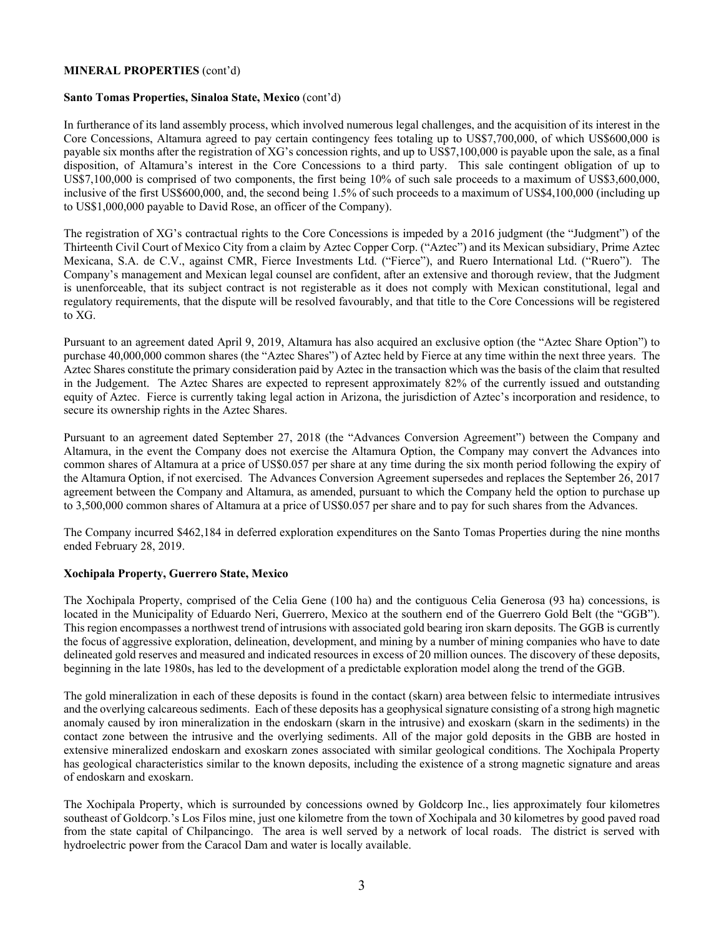## **MINERAL PROPERTIES** (cont'd)

## **Santo Tomas Properties, Sinaloa State, Mexico** (cont'd)

In furtherance of its land assembly process, which involved numerous legal challenges, and the acquisition of its interest in the Core Concessions, Altamura agreed to pay certain contingency fees totaling up to US\$7,700,000, of which US\$600,000 is payable six months after the registration of XG's concession rights, and up to US\$7,100,000 is payable upon the sale, as a final disposition, of Altamura's interest in the Core Concessions to a third party. This sale contingent obligation of up to US\$7,100,000 is comprised of two components, the first being 10% of such sale proceeds to a maximum of US\$3,600,000, inclusive of the first US\$600,000, and, the second being 1.5% of such proceeds to a maximum of US\$4,100,000 (including up to US\$1,000,000 payable to David Rose, an officer of the Company).

The registration of XG's contractual rights to the Core Concessions is impeded by a 2016 judgment (the "Judgment") of the Thirteenth Civil Court of Mexico City from a claim by Aztec Copper Corp. ("Aztec") and its Mexican subsidiary, Prime Aztec Mexicana, S.A. de C.V., against CMR, Fierce Investments Ltd. ("Fierce"), and Ruero International Ltd. ("Ruero"). The Company's management and Mexican legal counsel are confident, after an extensive and thorough review, that the Judgment is unenforceable, that its subject contract is not registerable as it does not comply with Mexican constitutional, legal and regulatory requirements, that the dispute will be resolved favourably, and that title to the Core Concessions will be registered to XG.

Pursuant to an agreement dated April 9, 2019, Altamura has also acquired an exclusive option (the "Aztec Share Option") to purchase 40,000,000 common shares (the "Aztec Shares") of Aztec held by Fierce at any time within the next three years. The Aztec Shares constitute the primary consideration paid by Aztec in the transaction which was the basis of the claim that resulted in the Judgement. The Aztec Shares are expected to represent approximately 82% of the currently issued and outstanding equity of Aztec. Fierce is currently taking legal action in Arizona, the jurisdiction of Aztec's incorporation and residence, to secure its ownership rights in the Aztec Shares.

Pursuant to an agreement dated September 27, 2018 (the "Advances Conversion Agreement") between the Company and Altamura, in the event the Company does not exercise the Altamura Option, the Company may convert the Advances into common shares of Altamura at a price of US\$0.057 per share at any time during the six month period following the expiry of the Altamura Option, if not exercised. The Advances Conversion Agreement supersedes and replaces the September 26, 2017 agreement between the Company and Altamura, as amended, pursuant to which the Company held the option to purchase up to 3,500,000 common shares of Altamura at a price of US\$0.057 per share and to pay for such shares from the Advances.

The Company incurred \$462,184 in deferred exploration expenditures on the Santo Tomas Properties during the nine months ended February 28, 2019.

#### **Xochipala Property, Guerrero State, Mexico**

The Xochipala Property, comprised of the Celia Gene (100 ha) and the contiguous Celia Generosa (93 ha) concessions, is located in the Municipality of Eduardo Neri, Guerrero, Mexico at the southern end of the Guerrero Gold Belt (the "GGB"). This region encompasses a northwest trend of intrusions with associated gold bearing iron skarn deposits. The GGB is currently the focus of aggressive exploration, delineation, development, and mining by a number of mining companies who have to date delineated gold reserves and measured and indicated resources in excess of 20 million ounces. The discovery of these deposits, beginning in the late 1980s, has led to the development of a predictable exploration model along the trend of the GGB.

The gold mineralization in each of these deposits is found in the contact (skarn) area between felsic to intermediate intrusives and the overlying calcareous sediments. Each of these deposits has a geophysical signature consisting of a strong high magnetic anomaly caused by iron mineralization in the endoskarn (skarn in the intrusive) and exoskarn (skarn in the sediments) in the contact zone between the intrusive and the overlying sediments. All of the major gold deposits in the GBB are hosted in extensive mineralized endoskarn and exoskarn zones associated with similar geological conditions. The Xochipala Property has geological characteristics similar to the known deposits, including the existence of a strong magnetic signature and areas of endoskarn and exoskarn.

The Xochipala Property, which is surrounded by concessions owned by Goldcorp Inc., lies approximately four kilometres southeast of Goldcorp.'s Los Filos mine, just one kilometre from the town of Xochipala and 30 kilometres by good paved road from the state capital of Chilpancingo. The area is well served by a network of local roads. The district is served with hydroelectric power from the Caracol Dam and water is locally available.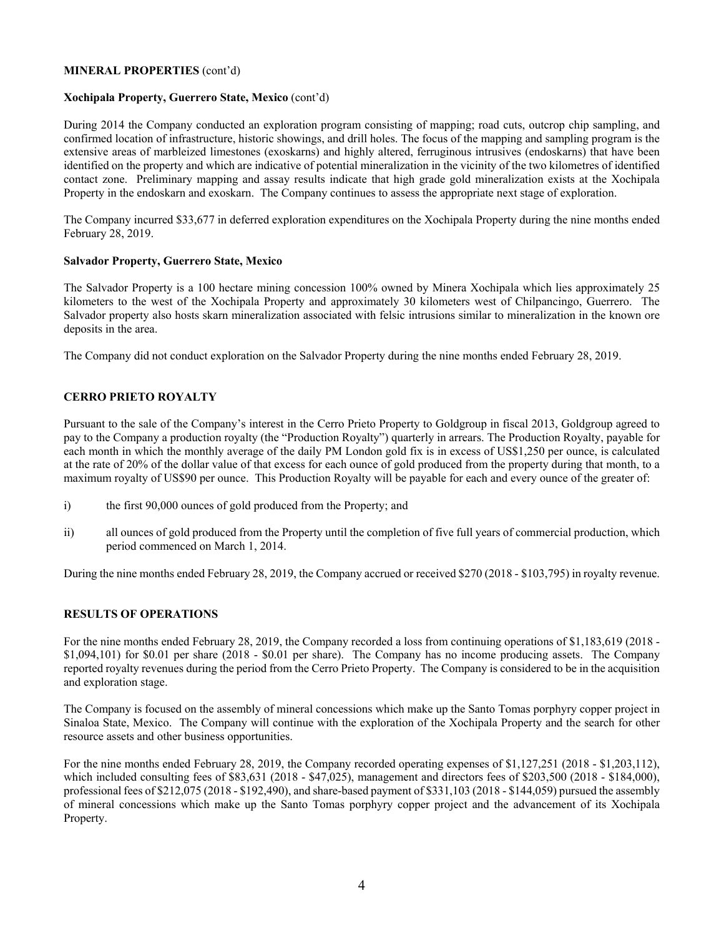## **MINERAL PROPERTIES** (cont'd)

## **Xochipala Property, Guerrero State, Mexico** (cont'd)

During 2014 the Company conducted an exploration program consisting of mapping; road cuts, outcrop chip sampling, and confirmed location of infrastructure, historic showings, and drill holes. The focus of the mapping and sampling program is the extensive areas of marbleized limestones (exoskarns) and highly altered, ferruginous intrusives (endoskarns) that have been identified on the property and which are indicative of potential mineralization in the vicinity of the two kilometres of identified contact zone. Preliminary mapping and assay results indicate that high grade gold mineralization exists at the Xochipala Property in the endoskarn and exoskarn. The Company continues to assess the appropriate next stage of exploration.

The Company incurred \$33,677 in deferred exploration expenditures on the Xochipala Property during the nine months ended February 28, 2019.

## **Salvador Property, Guerrero State, Mexico**

The Salvador Property is a 100 hectare mining concession 100% owned by Minera Xochipala which lies approximately 25 kilometers to the west of the Xochipala Property and approximately 30 kilometers west of Chilpancingo, Guerrero. The Salvador property also hosts skarn mineralization associated with felsic intrusions similar to mineralization in the known ore deposits in the area.

The Company did not conduct exploration on the Salvador Property during the nine months ended February 28, 2019.

## **CERRO PRIETO ROYALTY**

Pursuant to the sale of the Company's interest in the Cerro Prieto Property to Goldgroup in fiscal 2013, Goldgroup agreed to pay to the Company a production royalty (the "Production Royalty") quarterly in arrears. The Production Royalty, payable for each month in which the monthly average of the daily PM London gold fix is in excess of US\$1,250 per ounce, is calculated at the rate of 20% of the dollar value of that excess for each ounce of gold produced from the property during that month, to a maximum royalty of US\$90 per ounce. This Production Royalty will be payable for each and every ounce of the greater of:

- i) the first 90,000 ounces of gold produced from the Property; and
- ii) all ounces of gold produced from the Property until the completion of five full years of commercial production, which period commenced on March 1, 2014.

During the nine months ended February 28, 2019, the Company accrued or received \$270 (2018 - \$103,795) in royalty revenue.

#### **RESULTS OF OPERATIONS**

For the nine months ended February 28, 2019, the Company recorded a loss from continuing operations of \$1,183,619 (2018 - \$1,094,101) for \$0.01 per share (2018 - \$0.01 per share). The Company has no income producing assets. The Company reported royalty revenues during the period from the Cerro Prieto Property. The Company is considered to be in the acquisition and exploration stage.

The Company is focused on the assembly of mineral concessions which make up the Santo Tomas porphyry copper project in Sinaloa State, Mexico. The Company will continue with the exploration of the Xochipala Property and the search for other resource assets and other business opportunities.

For the nine months ended February 28, 2019, the Company recorded operating expenses of \$1,127,251 (2018 - \$1,203,112), which included consulting fees of \$83,631 (2018 - \$47,025), management and directors fees of \$203,500 (2018 - \$184,000), professional fees of \$212,075 (2018 - \$192,490), and share-based payment of \$331,103 (2018 - \$144,059) pursued the assembly of mineral concessions which make up the Santo Tomas porphyry copper project and the advancement of its Xochipala Property.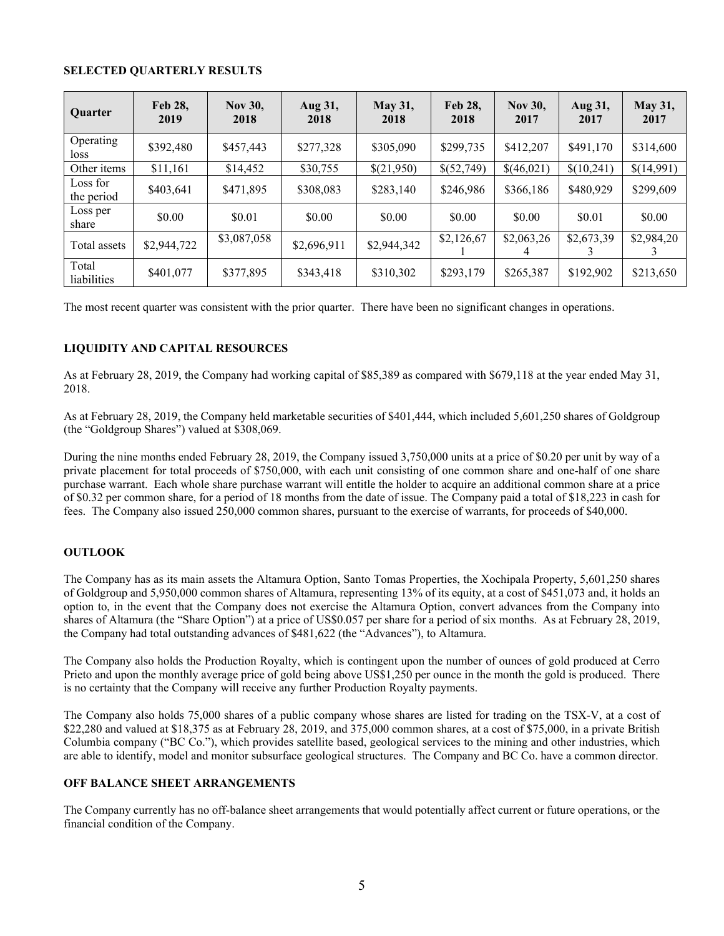## **SELECTED QUARTERLY RESULTS**

| Quarter                | <b>Feb 28,</b><br>2019 | <b>Nov 30,</b><br>2018 | Aug 31,<br>2018 | <b>May 31,</b><br>2018 | Feb 28.<br>2018 | <b>Nov 30,</b><br>2017 | Aug 31,<br>2017 | <b>May 31,</b><br>2017 |
|------------------------|------------------------|------------------------|-----------------|------------------------|-----------------|------------------------|-----------------|------------------------|
| Operating<br>loss      | \$392,480              | \$457,443              | \$277,328       | \$305,090              | \$299,735       | \$412,207              | \$491,170       | \$314,600              |
| Other items            | \$11.161               | \$14,452               | \$30,755        | \$(21,950)             | \$(52,749)      | \$(46,021)             | \$(10,241)      | \$(14,991)             |
| Loss for<br>the period | \$403.641              | \$471,895              | \$308,083       | \$283,140              | \$246,986       | \$366,186              | \$480,929       | \$299,609              |
| Loss per<br>share      | \$0.00                 | \$0.01                 | \$0.00          | \$0.00                 | \$0.00          | \$0.00                 | \$0.01          | \$0.00                 |
| Total assets           | \$2,944,722            | \$3,087,058            | \$2,696,911     | \$2,944,342            | \$2,126,67      | \$2,063,26<br>4        | \$2,673,39      | \$2,984,20             |
| Total<br>liabilities   | \$401,077              | \$377,895              | \$343,418       | \$310,302              | \$293,179       | \$265,387              | \$192,902       | \$213,650              |

The most recent quarter was consistent with the prior quarter. There have been no significant changes in operations.

# **LIQUIDITY AND CAPITAL RESOURCES**

As at February 28, 2019, the Company had working capital of \$85,389 as compared with \$679,118 at the year ended May 31, 2018.

As at February 28, 2019, the Company held marketable securities of \$401,444, which included 5,601,250 shares of Goldgroup (the "Goldgroup Shares") valued at \$308,069.

During the nine months ended February 28, 2019, the Company issued 3,750,000 units at a price of \$0.20 per unit by way of a private placement for total proceeds of \$750,000, with each unit consisting of one common share and one-half of one share purchase warrant. Each whole share purchase warrant will entitle the holder to acquire an additional common share at a price of \$0.32 per common share, for a period of 18 months from the date of issue. The Company paid a total of \$18,223 in cash for fees. The Company also issued 250,000 common shares, pursuant to the exercise of warrants, for proceeds of \$40,000.

# **OUTLOOK**

The Company has as its main assets the Altamura Option, Santo Tomas Properties, the Xochipala Property, 5,601,250 shares of Goldgroup and 5,950,000 common shares of Altamura, representing 13% of its equity, at a cost of \$451,073 and, it holds an option to, in the event that the Company does not exercise the Altamura Option, convert advances from the Company into shares of Altamura (the "Share Option") at a price of US\$0.057 per share for a period of six months. As at February 28, 2019, the Company had total outstanding advances of \$481,622 (the "Advances"), to Altamura.

The Company also holds the Production Royalty, which is contingent upon the number of ounces of gold produced at Cerro Prieto and upon the monthly average price of gold being above US\$1,250 per ounce in the month the gold is produced. There is no certainty that the Company will receive any further Production Royalty payments.

The Company also holds 75,000 shares of a public company whose shares are listed for trading on the TSX-V, at a cost of \$22,280 and valued at \$18,375 as at February 28, 2019, and 375,000 common shares, at a cost of \$75,000, in a private British Columbia company ("BC Co."), which provides satellite based, geological services to the mining and other industries, which are able to identify, model and monitor subsurface geological structures. The Company and BC Co. have a common director.

# **OFF BALANCE SHEET ARRANGEMENTS**

The Company currently has no off-balance sheet arrangements that would potentially affect current or future operations, or the financial condition of the Company.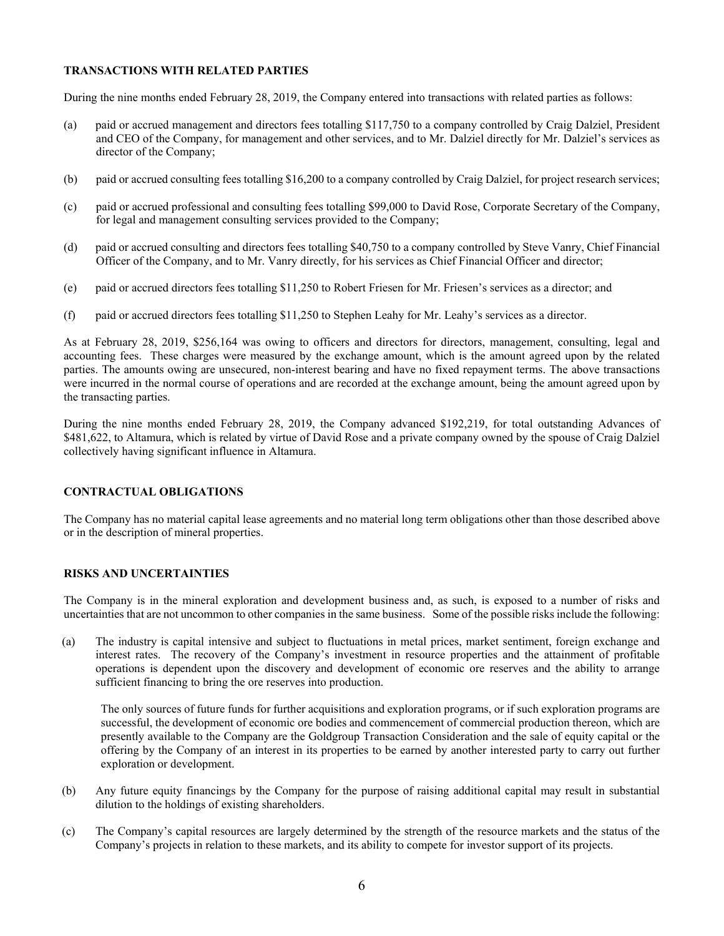## **TRANSACTIONS WITH RELATED PARTIES**

During the nine months ended February 28, 2019, the Company entered into transactions with related parties as follows:

- (a) paid or accrued management and directors fees totalling \$117,750 to a company controlled by Craig Dalziel, President and CEO of the Company, for management and other services, and to Mr. Dalziel directly for Mr. Dalziel's services as director of the Company;
- (b) paid or accrued consulting fees totalling \$16,200 to a company controlled by Craig Dalziel, for project research services;
- (c) paid or accrued professional and consulting fees totalling \$99,000 to David Rose, Corporate Secretary of the Company, for legal and management consulting services provided to the Company;
- (d) paid or accrued consulting and directors fees totalling \$40,750 to a company controlled by Steve Vanry, Chief Financial Officer of the Company, and to Mr. Vanry directly, for his services as Chief Financial Officer and director;
- (e) paid or accrued directors fees totalling \$11,250 to Robert Friesen for Mr. Friesen's services as a director; and
- (f) paid or accrued directors fees totalling \$11,250 to Stephen Leahy for Mr. Leahy's services as a director.

As at February 28, 2019, \$256,164 was owing to officers and directors for directors, management, consulting, legal and accounting fees. These charges were measured by the exchange amount, which is the amount agreed upon by the related parties. The amounts owing are unsecured, non-interest bearing and have no fixed repayment terms. The above transactions were incurred in the normal course of operations and are recorded at the exchange amount, being the amount agreed upon by the transacting parties.

During the nine months ended February 28, 2019, the Company advanced \$192,219, for total outstanding Advances of \$481,622, to Altamura, which is related by virtue of David Rose and a private company owned by the spouse of Craig Dalziel collectively having significant influence in Altamura.

# **CONTRACTUAL OBLIGATIONS**

The Company has no material capital lease agreements and no material long term obligations other than those described above or in the description of mineral properties.

# **RISKS AND UNCERTAINTIES**

The Company is in the mineral exploration and development business and, as such, is exposed to a number of risks and uncertainties that are not uncommon to other companies in the same business. Some of the possible risks include the following:

(a) The industry is capital intensive and subject to fluctuations in metal prices, market sentiment, foreign exchange and interest rates. The recovery of the Company's investment in resource properties and the attainment of profitable operations is dependent upon the discovery and development of economic ore reserves and the ability to arrange sufficient financing to bring the ore reserves into production.

The only sources of future funds for further acquisitions and exploration programs, or if such exploration programs are successful, the development of economic ore bodies and commencement of commercial production thereon, which are presently available to the Company are the Goldgroup Transaction Consideration and the sale of equity capital or the offering by the Company of an interest in its properties to be earned by another interested party to carry out further exploration or development.

- (b) Any future equity financings by the Company for the purpose of raising additional capital may result in substantial dilution to the holdings of existing shareholders.
- (c) The Company's capital resources are largely determined by the strength of the resource markets and the status of the Company's projects in relation to these markets, and its ability to compete for investor support of its projects.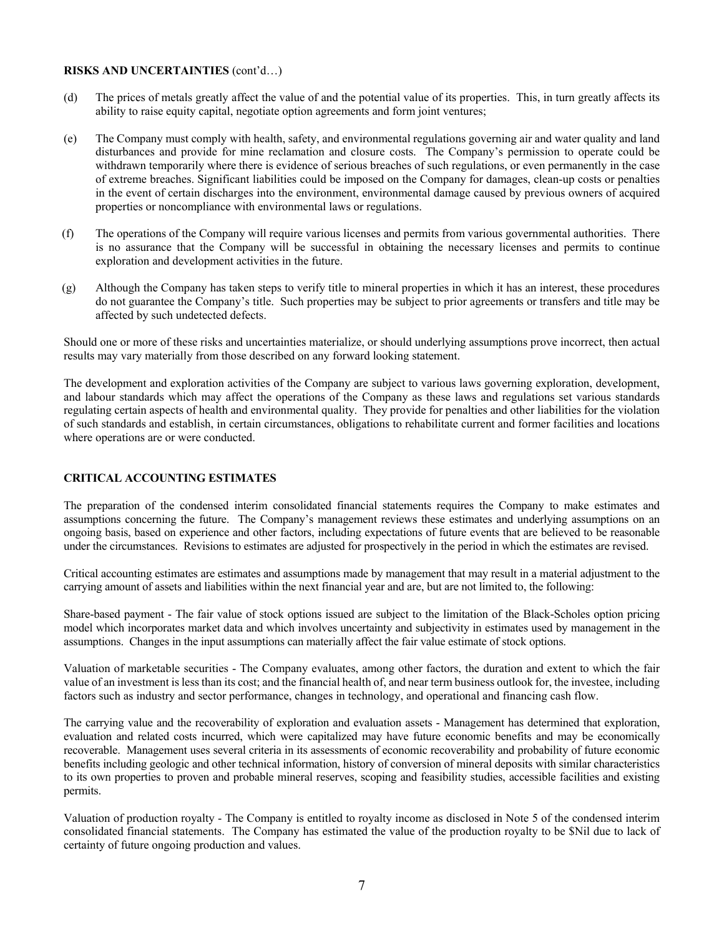# **RISKS AND UNCERTAINTIES** (cont'd…)

- (d) The prices of metals greatly affect the value of and the potential value of its properties. This, in turn greatly affects its ability to raise equity capital, negotiate option agreements and form joint ventures;
- (e) The Company must comply with health, safety, and environmental regulations governing air and water quality and land disturbances and provide for mine reclamation and closure costs. The Company's permission to operate could be withdrawn temporarily where there is evidence of serious breaches of such regulations, or even permanently in the case of extreme breaches. Significant liabilities could be imposed on the Company for damages, clean-up costs or penalties in the event of certain discharges into the environment, environmental damage caused by previous owners of acquired properties or noncompliance with environmental laws or regulations.
- (f) The operations of the Company will require various licenses and permits from various governmental authorities. There is no assurance that the Company will be successful in obtaining the necessary licenses and permits to continue exploration and development activities in the future.
- (g) Although the Company has taken steps to verify title to mineral properties in which it has an interest, these procedures do not guarantee the Company's title. Such properties may be subject to prior agreements or transfers and title may be affected by such undetected defects.

Should one or more of these risks and uncertainties materialize, or should underlying assumptions prove incorrect, then actual results may vary materially from those described on any forward looking statement.

The development and exploration activities of the Company are subject to various laws governing exploration, development, and labour standards which may affect the operations of the Company as these laws and regulations set various standards regulating certain aspects of health and environmental quality. They provide for penalties and other liabilities for the violation of such standards and establish, in certain circumstances, obligations to rehabilitate current and former facilities and locations where operations are or were conducted.

# **CRITICAL ACCOUNTING ESTIMATES**

The preparation of the condensed interim consolidated financial statements requires the Company to make estimates and assumptions concerning the future. The Company's management reviews these estimates and underlying assumptions on an ongoing basis, based on experience and other factors, including expectations of future events that are believed to be reasonable under the circumstances. Revisions to estimates are adjusted for prospectively in the period in which the estimates are revised.

Critical accounting estimates are estimates and assumptions made by management that may result in a material adjustment to the carrying amount of assets and liabilities within the next financial year and are, but are not limited to, the following:

Share-based payment - The fair value of stock options issued are subject to the limitation of the Black-Scholes option pricing model which incorporates market data and which involves uncertainty and subjectivity in estimates used by management in the assumptions. Changes in the input assumptions can materially affect the fair value estimate of stock options.

Valuation of marketable securities - The Company evaluates, among other factors, the duration and extent to which the fair value of an investment is less than its cost; and the financial health of, and near term business outlook for, the investee, including factors such as industry and sector performance, changes in technology, and operational and financing cash flow.

The carrying value and the recoverability of exploration and evaluation assets - Management has determined that exploration, evaluation and related costs incurred, which were capitalized may have future economic benefits and may be economically recoverable. Management uses several criteria in its assessments of economic recoverability and probability of future economic benefits including geologic and other technical information, history of conversion of mineral deposits with similar characteristics to its own properties to proven and probable mineral reserves, scoping and feasibility studies, accessible facilities and existing permits.

Valuation of production royalty - The Company is entitled to royalty income as disclosed in Note 5 of the condensed interim consolidated financial statements. The Company has estimated the value of the production royalty to be \$Nil due to lack of certainty of future ongoing production and values.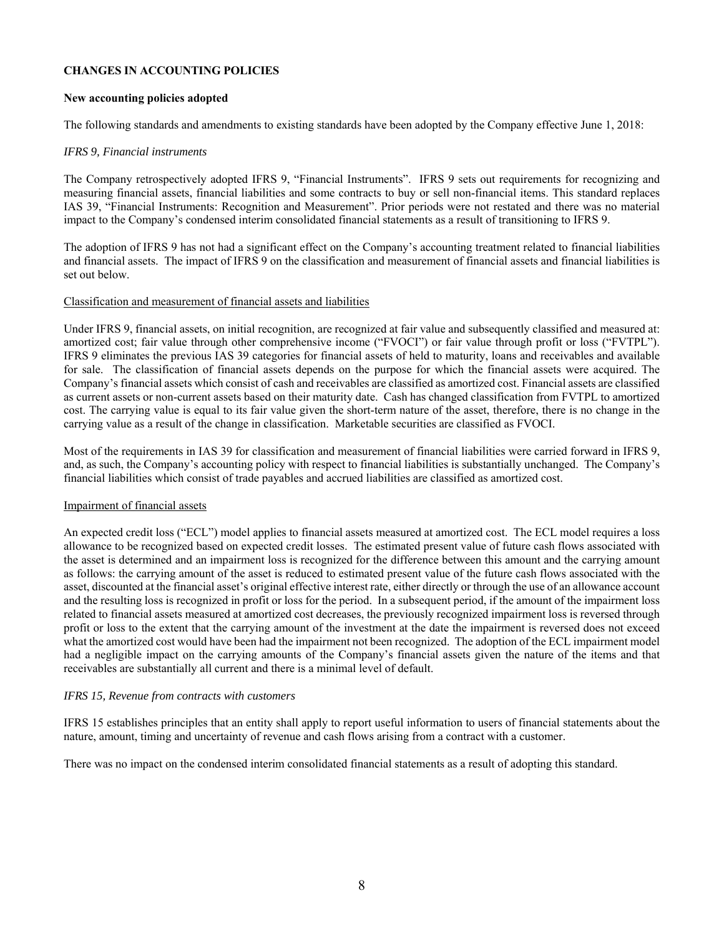## **CHANGES IN ACCOUNTING POLICIES**

## **New accounting policies adopted**

The following standards and amendments to existing standards have been adopted by the Company effective June 1, 2018:

## *IFRS 9, Financial instruments*

The Company retrospectively adopted IFRS 9, "Financial Instruments". IFRS 9 sets out requirements for recognizing and measuring financial assets, financial liabilities and some contracts to buy or sell non-financial items. This standard replaces IAS 39, "Financial Instruments: Recognition and Measurement". Prior periods were not restated and there was no material impact to the Company's condensed interim consolidated financial statements as a result of transitioning to IFRS 9.

The adoption of IFRS 9 has not had a significant effect on the Company's accounting treatment related to financial liabilities and financial assets. The impact of IFRS 9 on the classification and measurement of financial assets and financial liabilities is set out below.

#### Classification and measurement of financial assets and liabilities

Under IFRS 9, financial assets, on initial recognition, are recognized at fair value and subsequently classified and measured at: amortized cost; fair value through other comprehensive income ("FVOCI") or fair value through profit or loss ("FVTPL"). IFRS 9 eliminates the previous IAS 39 categories for financial assets of held to maturity, loans and receivables and available for sale. The classification of financial assets depends on the purpose for which the financial assets were acquired. The Company's financial assets which consist of cash and receivables are classified as amortized cost. Financial assets are classified as current assets or non-current assets based on their maturity date. Cash has changed classification from FVTPL to amortized cost. The carrying value is equal to its fair value given the short-term nature of the asset, therefore, there is no change in the carrying value as a result of the change in classification. Marketable securities are classified as FVOCI.

Most of the requirements in IAS 39 for classification and measurement of financial liabilities were carried forward in IFRS 9, and, as such, the Company's accounting policy with respect to financial liabilities is substantially unchanged. The Company's financial liabilities which consist of trade payables and accrued liabilities are classified as amortized cost.

#### Impairment of financial assets

An expected credit loss ("ECL") model applies to financial assets measured at amortized cost. The ECL model requires a loss allowance to be recognized based on expected credit losses. The estimated present value of future cash flows associated with the asset is determined and an impairment loss is recognized for the difference between this amount and the carrying amount as follows: the carrying amount of the asset is reduced to estimated present value of the future cash flows associated with the asset, discounted at the financial asset's original effective interest rate, either directly or through the use of an allowance account and the resulting loss is recognized in profit or loss for the period. In a subsequent period, if the amount of the impairment loss related to financial assets measured at amortized cost decreases, the previously recognized impairment loss is reversed through profit or loss to the extent that the carrying amount of the investment at the date the impairment is reversed does not exceed what the amortized cost would have been had the impairment not been recognized. The adoption of the ECL impairment model had a negligible impact on the carrying amounts of the Company's financial assets given the nature of the items and that receivables are substantially all current and there is a minimal level of default.

# *IFRS 15, Revenue from contracts with customers*

IFRS 15 establishes principles that an entity shall apply to report useful information to users of financial statements about the nature, amount, timing and uncertainty of revenue and cash flows arising from a contract with a customer.

There was no impact on the condensed interim consolidated financial statements as a result of adopting this standard.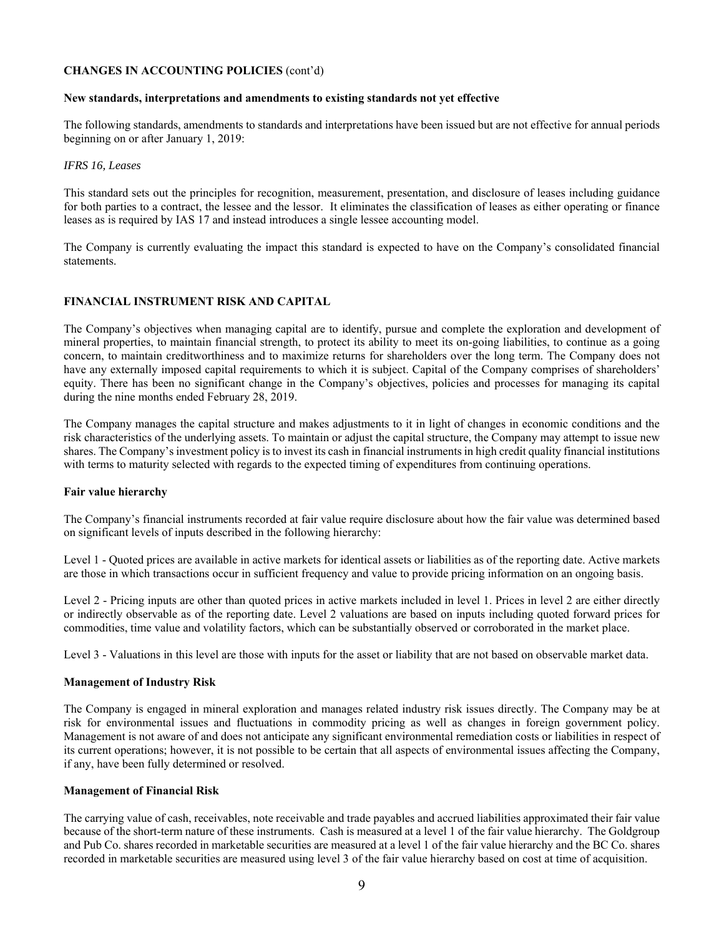# **CHANGES IN ACCOUNTING POLICIES** (cont'd)

#### **New standards, interpretations and amendments to existing standards not yet effective**

The following standards, amendments to standards and interpretations have been issued but are not effective for annual periods beginning on or after January 1, 2019:

#### *IFRS 16, Leases*

This standard sets out the principles for recognition, measurement, presentation, and disclosure of leases including guidance for both parties to a contract, the lessee and the lessor. It eliminates the classification of leases as either operating or finance leases as is required by IAS 17 and instead introduces a single lessee accounting model.

The Company is currently evaluating the impact this standard is expected to have on the Company's consolidated financial statements.

# **FINANCIAL INSTRUMENT RISK AND CAPITAL**

The Company's objectives when managing capital are to identify, pursue and complete the exploration and development of mineral properties, to maintain financial strength, to protect its ability to meet its on-going liabilities, to continue as a going concern, to maintain creditworthiness and to maximize returns for shareholders over the long term. The Company does not have any externally imposed capital requirements to which it is subject. Capital of the Company comprises of shareholders' equity. There has been no significant change in the Company's objectives, policies and processes for managing its capital during the nine months ended February 28, 2019.

The Company manages the capital structure and makes adjustments to it in light of changes in economic conditions and the risk characteristics of the underlying assets. To maintain or adjust the capital structure, the Company may attempt to issue new shares. The Company's investment policy is to invest its cash in financial instruments in high credit quality financial institutions with terms to maturity selected with regards to the expected timing of expenditures from continuing operations.

#### **Fair value hierarchy**

The Company's financial instruments recorded at fair value require disclosure about how the fair value was determined based on significant levels of inputs described in the following hierarchy:

Level 1 - Quoted prices are available in active markets for identical assets or liabilities as of the reporting date. Active markets are those in which transactions occur in sufficient frequency and value to provide pricing information on an ongoing basis.

Level 2 - Pricing inputs are other than quoted prices in active markets included in level 1. Prices in level 2 are either directly or indirectly observable as of the reporting date. Level 2 valuations are based on inputs including quoted forward prices for commodities, time value and volatility factors, which can be substantially observed or corroborated in the market place.

Level 3 - Valuations in this level are those with inputs for the asset or liability that are not based on observable market data.

#### **Management of Industry Risk**

The Company is engaged in mineral exploration and manages related industry risk issues directly. The Company may be at risk for environmental issues and fluctuations in commodity pricing as well as changes in foreign government policy. Management is not aware of and does not anticipate any significant environmental remediation costs or liabilities in respect of its current operations; however, it is not possible to be certain that all aspects of environmental issues affecting the Company, if any, have been fully determined or resolved.

#### **Management of Financial Risk**

The carrying value of cash, receivables, note receivable and trade payables and accrued liabilities approximated their fair value because of the short-term nature of these instruments. Cash is measured at a level 1 of the fair value hierarchy. The Goldgroup and Pub Co. shares recorded in marketable securities are measured at a level 1 of the fair value hierarchy and the BC Co. shares recorded in marketable securities are measured using level 3 of the fair value hierarchy based on cost at time of acquisition.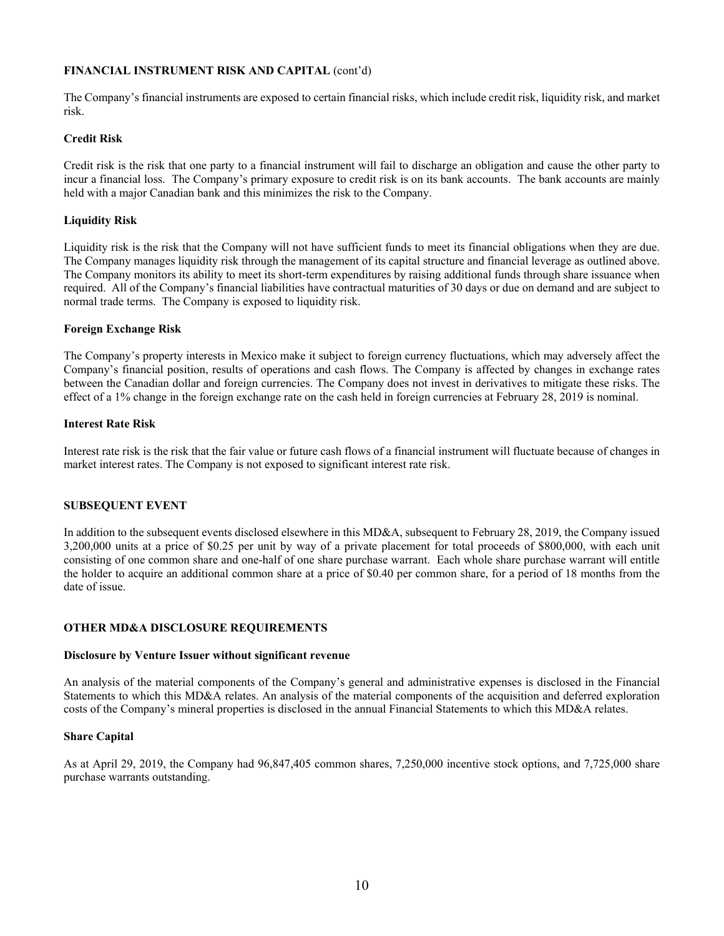# **FINANCIAL INSTRUMENT RISK AND CAPITAL** (cont'd)

The Company's financial instruments are exposed to certain financial risks, which include credit risk, liquidity risk, and market risk.

# **Credit Risk**

Credit risk is the risk that one party to a financial instrument will fail to discharge an obligation and cause the other party to incur a financial loss. The Company's primary exposure to credit risk is on its bank accounts. The bank accounts are mainly held with a major Canadian bank and this minimizes the risk to the Company.

# **Liquidity Risk**

Liquidity risk is the risk that the Company will not have sufficient funds to meet its financial obligations when they are due. The Company manages liquidity risk through the management of its capital structure and financial leverage as outlined above. The Company monitors its ability to meet its short-term expenditures by raising additional funds through share issuance when required. All of the Company's financial liabilities have contractual maturities of 30 days or due on demand and are subject to normal trade terms. The Company is exposed to liquidity risk.

## **Foreign Exchange Risk**

The Company's property interests in Mexico make it subject to foreign currency fluctuations, which may adversely affect the Company's financial position, results of operations and cash flows. The Company is affected by changes in exchange rates between the Canadian dollar and foreign currencies. The Company does not invest in derivatives to mitigate these risks. The effect of a 1% change in the foreign exchange rate on the cash held in foreign currencies at February 28, 2019 is nominal.

## **Interest Rate Risk**

Interest rate risk is the risk that the fair value or future cash flows of a financial instrument will fluctuate because of changes in market interest rates. The Company is not exposed to significant interest rate risk.

# **SUBSEQUENT EVENT**

In addition to the subsequent events disclosed elsewhere in this MD&A, subsequent to February 28, 2019, the Company issued 3,200,000 units at a price of \$0.25 per unit by way of a private placement for total proceeds of \$800,000, with each unit consisting of one common share and one-half of one share purchase warrant. Each whole share purchase warrant will entitle the holder to acquire an additional common share at a price of \$0.40 per common share, for a period of 18 months from the date of issue.

# **OTHER MD&A DISCLOSURE REQUIREMENTS**

#### **Disclosure by Venture Issuer without significant revenue**

An analysis of the material components of the Company's general and administrative expenses is disclosed in the Financial Statements to which this MD&A relates. An analysis of the material components of the acquisition and deferred exploration costs of the Company's mineral properties is disclosed in the annual Financial Statements to which this MD&A relates.

#### **Share Capital**

As at April 29, 2019, the Company had 96,847,405 common shares, 7,250,000 incentive stock options, and 7,725,000 share purchase warrants outstanding.